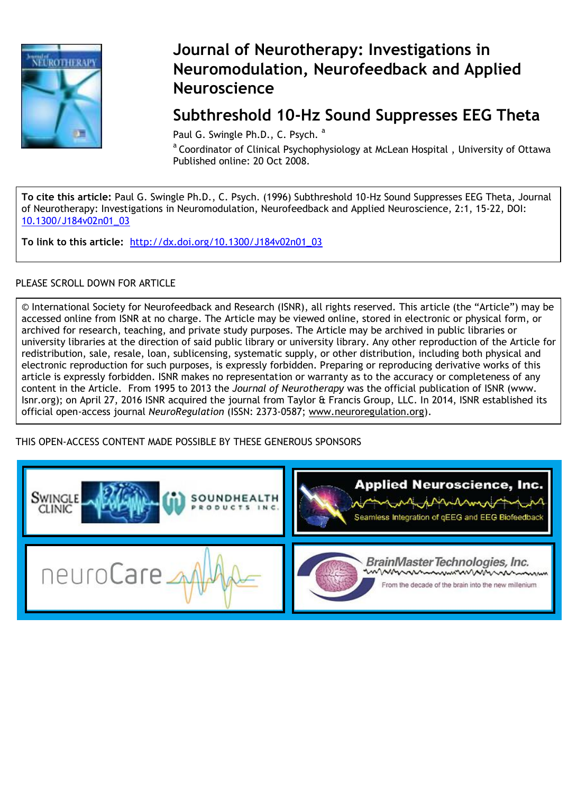

## **Journal of Neurotherapy: Investigations in Neuromodulation, Neurofeedback and Applied Neuroscience**

## **Subthreshold 10-Hz Sound Suppresses EEG Theta**

Paul G. Swingle Ph.D., C. Psych. <sup>a</sup>

<sup>a</sup> Coordinator of Clinical Psychophysiology at McLean Hospital, University of Ottawa Published online: 20 Oct 2008.

**To cite this article:** Paul G. Swingle Ph.D., C. Psych. (1996) Subthreshold 10-Hz Sound Suppresses EEG Theta, Journal of Neurotherapy: Investigations in Neuromodulation, Neurofeedback and Applied Neuroscience, 2:1, 15-22, DOI: 10.1300/J184v02n01\_03

**To link to this article:** [http://dx.doi.org/10.1300/J184v02n01\\_03](http://dx.doi.org/10.1300/J184v02n01_03)

### PLEASE SCROLL DOWN FOR ARTICLE

© International Society for Neurofeedback and Research (ISNR), all rights reserved. This article (the "Article") may be accessed online from ISNR at no charge. The Article may be viewed online, stored in electronic or physical form, or archived for research, teaching, and private study purposes. The Article may be archived in public libraries or university libraries at the direction of said public library or university library. Any other reproduction of the Article for redistribution, sale, resale, loan, sublicensing, systematic supply, or other distribution, including both physical and electronic reproduction for such purposes, is expressly forbidden. Preparing or reproducing derivative works of this article is expressly forbidden. ISNR makes no representation or warranty as to the accuracy or completeness of any content in the Article. From 1995 to 2013 the *Journal of Neurotherapy* was the official publication of ISNR (www. Isnr.org); on April 27, 2016 ISNR acquired the journal from Taylor & Francis Group, LLC. In 2014, ISNR established its official open-access journal *NeuroRegulation* (ISSN: 2373-0587; [www.neuroregulation.org\)](http://www.neuroregulation.org/).

THIS OPEN-ACCESS CONTENT MADE POSSIBLE BY THESE GENEROUS SPONSORS

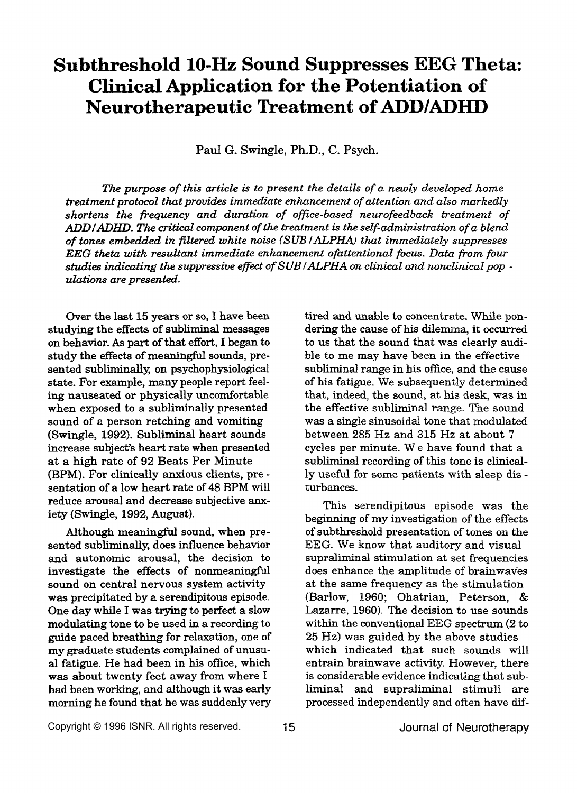# **Subthreshold 10-Hz Sound Suppresses EEG Theta: Clinical Application for the Potentiation of Neurotherapeutic Treatment of** ADDIADHD

Pad *G.* **Swingle,** Ph.D., *C.* **Psych.** 

*The purpose of this article* **is** *to present the details of a newly developed home treatment protocol that provides immediate enhancement of attention and also markedly shortens the frequency and duration of ofice-based neurofeedback treatment of ADDIADHD. The critical component of the treatment* **is** *the selfadministration of a blend of tones embedded in filtered white noise (SUB /ALPHA) that immediately suppresses EEG theta with resultant immediate enhancement ofattentional focus. Data from four studies indicating the suppressive effect of SUB /ALPHA on clinical and nonclinical pop dations are presented.* 

Over the last 15 years or so, I have been studying the effects of subliminal messages on behavior. *As* part of that effort, I **began** to study the effects of meaningful sounds, presented subliminally, on psychophysiological state. For example, many people report feeling nauseated **or** physically uncomfortable when exposed to a subliminally presented sound of a person retching and vomiting (Swingle, 1992). Subliminal heart sounds increase subject's heart rate when presented at a high rate of 92 Beats Per Minute (BPM). For clinically anxious clients, pre sentation of a low heart rate of 48 BPM will reduce arousal and decrease subjective **am**iety (Swingle, 1992, August).

Although meaningful sound, when presented subliminally, does influence behavior and autonomic arousal, the decision to investigate the effects of nonmeaningful sound on central nervous system activity was precipitated by a serendipitous episode. One day while I was trying to perfect a slow modulating tone to be used in a recording to guide paced breathing for relaxation, one of my graduate students complained **of** unusu**al** fatigue. He had been in **his** office, which was about twenty feet away from where **I**  had been working, and although it was early morning he found that he was suddenly very tired and unable to concentrate. While pondering the cause of **his** dilemna, it occurred to us that the sound that was clearly audible to me may have been in the effective subliminal range in his office, and the cause of **his** fatigue. We subsequently determined that, indeed, the sound, **at** his desk, **was** in the effective subliminal range. The sound was a single sinusoidal tone that modulated between 285 Hz and **315 Hz** at about 7 cycles per minute. We have found that a subliminal recording of this tone is clinically useful for **some** patients with sleep **dis**  turbances.

This serendipitous episode was the beginning of my investigation of the effects of subthreshold presentation of tones on the EEG. We know that auditory and visual supraliminal stimulation at set frequencies does enhance the amplitude of brainwaves at the same frequency as the stimulation (Barlow, 1960; Ohatrian, Peterson, & Lazarre, 1960). The decision to use sounds within the conventional EEG spectrum (2 to 25 **Hz)** was guided by the above studies which indicated that such sounds will entrain brainwave activity. However, there is considerable evidence indicating that subliminal and supraliminal stimuli are processed independently and often have dif-

Copyright © 1996 ISNR. All rights reserved. 15 Journal *of* Neurotherapy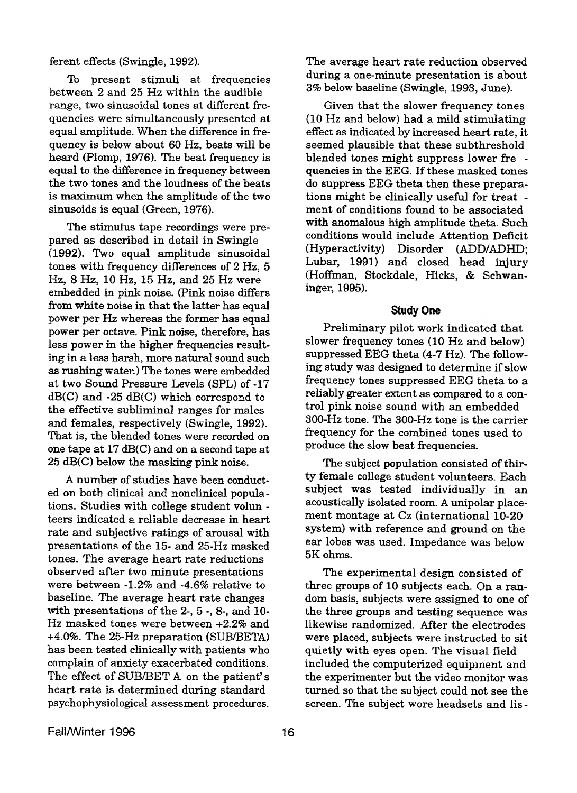ferent effects (Swingle, **1992).** 

**To** present stimuli at frequencies between 2 and **25** Hz within the audible range, two sinusoidal tones at different frequencies were simultaneously presented at equal amplitude. When the difference in frequency is below about 60 Hz, beats will be heard (Plomp, **1976).** The beat frequency is equal to the difference in frequency between the two tones and the loudness of the beats is maximum when the amplitude of the two sinusoids is equal (Green, **1976).** 

The stimulus tape recordings were prepared as described in detail in Swingle **(1992).** Two equal amplitude sinusoidal tones with frequency differences of **2** Hz, **5 Hz,** 8 **Hz, 10** Hz, **15** Hz, and **25** Hz were embedded in pink noise. (Pink noise differs from white noise in that the latter has equal power per *Hz* whereas the former has equal power per octave. Pink noise, therefore, has less power in the higher frequencies result**ing** in a less harsh, more natural sound such **as** rushing water.) The tones were embedded at two Sound Pressure Levels (SPL) of **-17**  dB(C) and **-25** *B(C)* which correspond to the effective subliminal ranges for males and females, respectively (Swingle, **1992).**  That is, the blended tones were recorded on one tape at **17** *dB(C)* and on a second tape at **25** *B(C)* below the masking pink noise.

**A** number of studies have been conducted on both clinical and nonclinical populations. Studies with college student volun teem indicated a reliable decrease in heart rate and subjective ratings of arousal with presentations of the 15- and **25-Hz** masked tones. The average heart rate reductions observed after two minute presentations were between **-1.28** and **-4.6%** relative to baseline. The average heart rate changes with presentations of the **2-,** 5 -, **8-,** and **10- Hz** masked tones were between +2.2% and **+4.0%.** The 25-Hz preparation (SUB/BETA) has been tested clinically with patients who complain of anxiety exacerbated conditions. The effect of SUB/BET A on the patient's heart rate is determined during standard psychophysiological assessment procedures.

The average heart rate reduction observed during **a** one-minute presentation is about **3%** below baseline (Swingle, **1993,** June).

Given that the slower frequency tones (10 Hz and below) had a mild stimulating effect **as** indicated by increased heart rate, it seemed plausible that these subthreshold blended tones might suppress lower fre quencies in the EEG. If these masked tones do suppress EEG theta then these preparations might be clinically useful for treat ment of conditions found to be associated with anomalous high amplitude theta. Such conditions would include Attention Deficit (Hyperactivity) Disorder (ADD/ADHD; Lubar, **1991)** and closed head injury (Hoffman, Stockdale, Hicks, & Schwaninger, **1995).** 

#### **Study One**

Preliminary pilot work indicated that slower frequency tones **(10** Hz and below) suppressed EEG theta **(4-7** Hz). The following study was designed to determine if slow frequency tones suppressed EEG theta to a reliably greater extent **as** compared to a control pink noise sound with an embedded **300-Hz** tone. The **300-Hz** tone is the carrier frequency for the combined tones used to produce the slow beat frequencies.

The subject population consisted of thirty female college student volunteers. Each subject **was** tested individually in an acoustically isolated room. **A** unipolar placement montage at **Cz** (international **10-20**  system) with reference and ground on the ear lobes was used. Impedance was below 5K ohms.

The experimental design consisted of three groups of **10** subjects each. **On** a random basis, subjects were assigned to one of the three groups **and** testing sequence was likewise randomized. After the electrodes were placed, subjects were instructed to sit quietly with eyes open. The visual field included the computerized equipment and the experimenter but the video monitor was turned so that the subject could not see the screen. The subject wore headsets and lis-

Fall/Winter 1996 16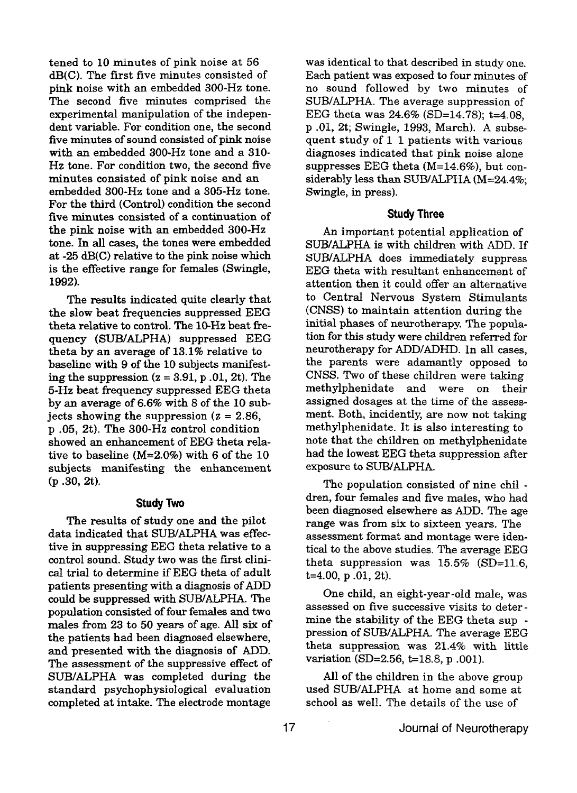tened to 10 minutes of pink noise at 56 dB(C). The first five minutes consisted of pink noise with an embedded 300-Hz tone. The second five minutes comprised the experimental manipulation of the independent variable. For condition one, the second five minutes of sound consisted of pink noise with **an** embedded 300-Hz tone and a **310-**  Hz tone. For condition two, the second five minutes consisted of pink noise **and** an embedded 300-Hz tone and a 305-Hz tone. For the third (Control) condition the second five minutes consisted of a continuation of the pink noise with an embedded **300-Hz**  tone. **In all** cases, the tones were embedded at **-25** *dB(C)* relative to the pink noise which is the effective range for females (Swingle, 1992).

The results indicated quite clearly that the slow beat frequencies suppressed EEG **theta** relative to control. The **10-Hz** beat fiequency (SUB/ALPHA) suppressed EEG theta by an average **of** 13.1% relative to baseline with 9 **of** the 10 subjects manifesting the suppression (z = **3.91,** p **.01,** 2t). The **5-Hz** beat frequency suppressed EEG theta by an average of **6.6%** with 8 of the **10** subjects showing the suppression  $(z = 2.86, ...)$ p *-05,* 2t). The 300-Hz control condition showed an enhancement of EEG theta relative to baseline (M=2.0%) with 6 of the **10**  subjects manifesting the enhancement (p **-30,** 2t).

#### **Study Two**

data indicated that SUB/ALPHA was effective in suppressing EEG theta relative to a control sound. Study two was the first clinical trial to determine if EEG theta of adult patients presenting with a diagnosis of ADD could be suppressed with SUB/ALPHA. The population consisted of four females and **two**  males from 23 to **50** years of age. All **six** of the patients had been diagnosed elsewhere, and presented with the diagnosis of ADD. The assessment of the suppressive effect of SUB/ALPHA was completed during the standard psychophysiological evaluation completed at intake. The electrode montage The results of study one and the pilot

was identical to that described in study one. Each patient was exposed to four minutes of no sound followed by two minutes of SUB/ALPHA. The average suppression of EEG theta was **24.6% (SD=14.78);** t=4.08, p **.01,** 2t; Swingle, **1993,** March). **A** subsequent study of **1** 1 patients with various diagnoses indicated that pink noise alone suppresses **EEG** theta (M=14.6%), but considerably less than SUB/ALPHA **(M=24.4%;**  Swingle, in press).

#### **Study Three**

An important potential application *of*  SuB/ALpHA is with children with **ADD. If**  SUB/ALPHA does immediately suppress EEG theta with resultant enhancement *of*  attention then it could offer an alternative to Central Nervous System Stimulants **(CNSS)** to maintain attention during the initial phases of neurotherapy. The population **for this** study were children referred **for**  neurotherapy for ADDIADHD. In all cases, the parents were adamantly opposed to **CNSS.** Two **of** these children were **taking**  methylphenidate and were on their assigned dosages at the time of the assessment. Both, incidently, are now not taking methylphenidate. It is also interesting to note that the children on methylphenidate had the lowest EEG theta suppression after exposure to SUB/ALPHA.

The population consisted of nine chi1 dren, four females and five males, **who** had been diagnosed elsewhere **as** ADD. The age range was from **six** to sixteen years. The assessment format and montage were identical to the above studies. The average EEG theta suppression was **15.5%** (SD=11.6, t=4.00, p **-01,** 2t).

One child, an eight-year-old male, was assessed on five successive visits to determine the stability of the EEG theta sup pression of SUB/ALPHA. The average EEG theta suppression was 21.4% with little variation (SD=2.56, t=18.8, p .001).

All of the children in the above group used SUB/ALPHA at home and some at school as well. The details of the use of

17 **Journal of Neurotherapy**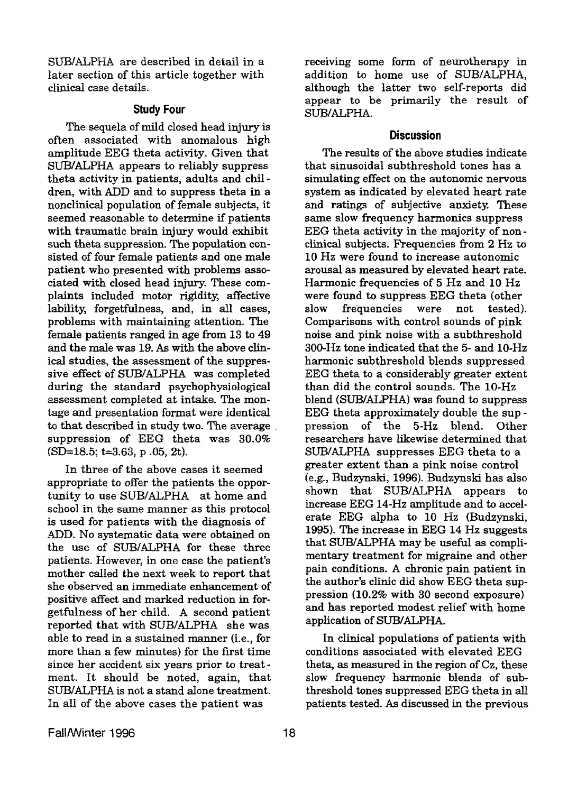SUB/ALPHA are described in detail in a later section of this article together with clinical case details.

#### **Study Four**

The sequela of mild closed head injury is often associated with anomalous high amplitude EEG theta activity. Given that **SUB/&PHA** appears to reliably suppress theta activity in patients, adults and chi1 dren, with **ADD** and to suppress theta in a nonclinical population of female subjects, it seemed reasonable to deterrnine **if** patients with traumatic brain injury would exhibit such theta suppression. The population **con**sisted of four female patients and one male patient who presented with problems associated with closed head injury. These complaints included motor rigidity, affective lability, forgetfulness, and, in all cases, problems with maintaining attention. The female patients ranged in age from 13 to 49 and the male was 19. *As* with the above clinical studies, the assessment of the suppressive effect of SUBIALPHA was completed during the standard psychophysiological assessment completed at intake. The montage and presentation format were identical to that described in study two. The average suppression of EEG theta was 30.0% (SD=18.5; t=3.63, **p** .05, 2t).

**In** three of the above cases it seemed appropriate to offer the patients the opportunity to use SUB/ALPHA at home and school in the same manner as this protocol is used for patients with the diagnosis of ADD. No systematic data were obtained on the use of SUB/ALPHA for these three patients. However, in one case the patient's mother called the next week to report that she observed an immediate enhancement of positive affect and marked reduction in forgetfulness of her child. A second patient reported that with SUB/ALPHA she was able to read in **a** sustained manner (i-e., for more than a few minutes) for the first time since her accident **six** years prior to treat ment. It should be noted, again, that SuB/ALPHA is not a stand alone treatment. In all of the above cases the patient was

receiving some form of neurotherapy in addition to home use of SUB/ALPHA, although the latter two self-reports did appear to be primarily the result of SUB/ALPHA.

#### **Discussion**

The results of the above studies indicate that sinusoidal subthreshold tones has a simulating effect on the autonomic nervous system as indicated by elevated heart rate and ratings of subjective anxiety. These same slow frequency harmonics suppress EEG theta activity in the majority of nonclinical subjects. Frequencies from 2 Hz to **10 Hz** were found to increase autonomic **arousal** as measured by elevated heart rate. Harmonic frequencies of 5 **Hz** and 10 **Hz**  were found to suppress EEG theta (other slow frequencies were not tested). Comparisons with control sounds *of* pink noise and pink noise with a subthreshold **300-Hz** tone indicated that the 5- and 10-Hz harmonic subthreshold blends suppressed EEG theta to a considerably greater extent than did the control sounds. The 10-Hz blend (SUB/ALPHA) was found to suppress EEG theta approximately double the sup pression of the **5-Hz blend.** Other researchers have likewise determined that SUB/ALPHA suppresses EEG theta to a greater extent than a pink noise control (e.g., Budzynski, 1996). Budzynski has also **shown** that **SUB/ALPHA** appears to increase EEG **14-Hz** amplitude and to accelerate EEG alpha to **10 Hz** (Budzynski, 1995). The increase in EEG **14** *Hz* suggests that **SUB/ALPHA** may be useful **as** complimentary treatment for migraine and other pain conditions. A chronic pain patient in the author's clinic did show EEG theta suppression (10.2% with 30 second exposure) and has reported modest relief with home application of SUB/ALPHA.

**In** clinical populations of patients with conditions associated with elevated EEG theta, **as** measured in the region of **Cz,** these slow frequency harmonic blends of sub threshold tones suppressed EEG theta in **all**  patients tested. *As* discussed in the previous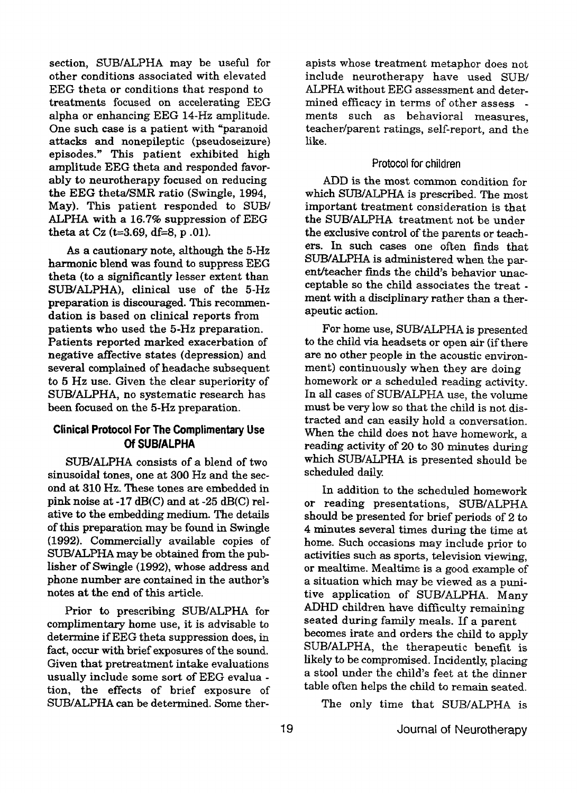section, SUB/ALPHA may be useful for other conditions associated with elevated EEG theta or conditions that respond to treatments focused on accelerating EEG alpha or enhancing EEG **14-Hz** amplitude. One such case is a patient with "paranoid attacks and nonepileptic (pseudoseizure) episodes." This patient exhibited **high**  amplitude EEG theta and responded favorably to neurotherapy focused on reducing the EEG theta/SMR ratio (Swingle, 1994, May). This patient responded to SUB/ ALPHA with a **16.7%** suppression of EEG theta at **Cz (k3.69,** df=8, **p .Ol).** 

*As* a cautionary note, although the 5-Hz harmonic blend **was** found to suppress EEG theta (to **a** significantly lesser extent than SUB/ALPHA), clinical use of the 5-Hz preparation is discouraged. **This** recommendation is based on clinical reports from patients who used the **5-Hz** preparation. Patients reported marked exacerbation of negative affective states (depression) **and**  several complained of headache subsequent to 5 Hz use. Given the clear superiority of SUB/ALPHA, no systematic research has been focused on the 5-Hz preparation.

### **Clinical Protocol For The Complimentary Use Of SUBIALPHA**

SUB/ALPHA consists of a blend of two sinusoidal tones, one at **300** Hz and the second at **310 Hz.** These tones are embedded in pink noise at -17 dB(C) and at -25 dB(C) relative to the embedding medium. The details of this preparation **may** be found in Swingle (1992). Commercially available copies of SUB/ALPHA may be obtained from the publisher of Swingle **(1992),** whose address and phone number are contained in the author's notes at the end of this article.

Prior to prescribing SUB/ALPHA for complimentary home use, it is advisable to determine if EEG theta suppression does, in fact, occur with brief exposures of the sound. Given that pretreatment intake evaluations usually include some sort of EEG evalua tion, the effects of brief exposure of SUEVALPHA can be determined. Some ther-

apists whose treatment metaphor does not include neurotherapy have used SUB/ ALPHA without EEG assessment and determined efficacy in terms of other assess ments such as behavioral measures, teacher/parent ratings, self-report, and the like.

#### Protocol **for children**

ADD is the most common condition for **which SUB/ALPHA** is prescribed. The most important treatment consideration is that the SUBIALPHA treatment not be under the exclusive control of the parents or teachers. **In** such cases one often finds that SUB/ALPHA is administered when the **par**ent/teacher finds the child's behavior unacceptable so the child associates the treat ment with **a** disciplinary rather than a therapeutic action.

For home use, SUBIALPHA is presented to the child **via** headsets or open air (if there are **no** other people in the acoustic environment) continuously when they are doing homework or a scheduled reading activity. In all cases of SUWALPHA use, the volume must be very low so that the child is not distracted and can easily hold a conversation. When the child does not have homework, a reading activity of 20 to **30** minutes during which SuB/ALPHA is presented should be scheduled daily.

In addition to the scheduled homework or reading presentations, SUBIALPHA should be presented for brief periods *of* 2 to **4** minutes several times **during** the time at home. Such occasions **may** include prior to activities such **as** sports, television viewing, or mealtime. Mealtime is **a** good example of a situation which may be viewed **as** a **puni**tive application of SUB/ALPHA. Many ADHD children have difficulty remaining seated during family meals. If a parent becomes irate and orders the child to apply SUBIALPHA, the therapeutic benefit is likely to be compromised. Incidently, placing a stool under the child's feet **at** the dinner table often helps the child to remain seated.

The only time that SUB/ALPHA is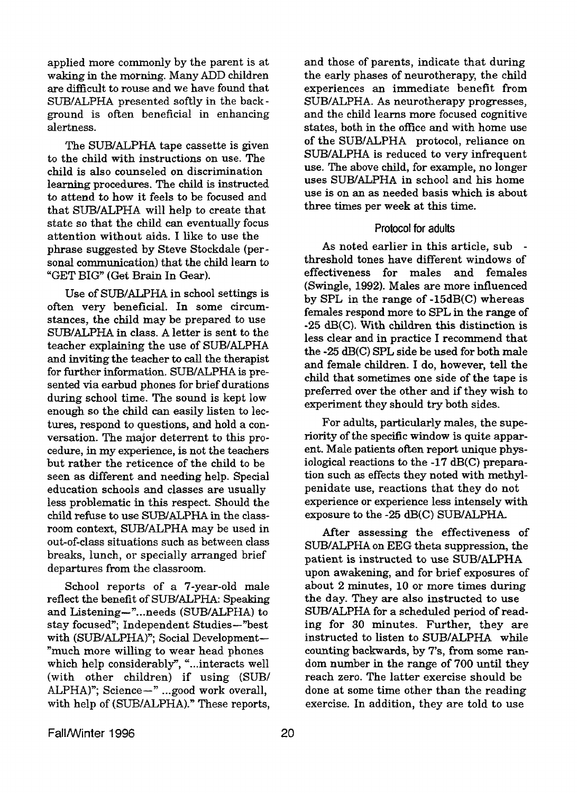applied more commonly by the parent is at and those of parents, indicate that during waking in the morning. Many ADD children are difficult to rouse and we have found that SUB/ALPHA presented softly in the background is often beneficial in enhancing alertness.

The SUB/ALPHA tape cassette is given to the child with instructions on use. The child is also counseled on discrimination learning procedures. The child is instructed *to* attend to how it feels to be focused and that SUB/ALPHA will help to create that state so that the child can eventually focus attention without aids. I like to use the phrase suggested by Steve Stockdale (personal communication) that the child learn to "GET BIG" (Get Brain **In** *Gear).* 

Use of SUB/ALPHA in school settings is often very beneficial. In some circumstances, the child may be prepared to use STJB/ALF'HA in class. **A** letter is sent to the teacher explaining the use of SUB/ALPHA and inviting the teacher **to call** the therapist for further information. SUB/ALPHA is presented via earbud phones for brief durations during school time. The sound is kept low enough so the child can easily listen to lectures, respond to questions, and hold **a** conversation. The major deterrent to this procedure, in my experience, is not the teachers but rather the reticence of the child to be seen as different and needing help. Special education schools and classes are usually less problematic in **this** respect. Should the child refuse to use SUB/ALPHA in the classroom context, SUB/ALPHA may be used in out-of-class situations such as between class breaks, lunch, or specially arranged brief departures from the classroom.

School reports of a 7-year-old male reflect the benefit of SUB/ALPHA: Speaking and Listening-"...needs (SUBIALPHA) to stay focused"; Independent Studies--"best with (SUB/ALPHA)"; Social Development-"much more willing to wear head phones which help considerably, "...interacts well (with other children) if using **(SUB/**  ALPHA)"; Science-" ...good work overall, with help of (SUB/ALPHA)." These reports,

the early phases of neurotherapy, the child experiences an immediate benefit from SUB/ALPHA. As neurotherapy progresses, and the child learns more focused cognitive states, both in the office and with home use of the SUB/ALPHA protocol, reliance on SUB/ALPHA is reduced to very infrequent use. The above child, for example, no longer uses SUB/ALPHA in school and his home use is on an as needed basis which is about three times per week at **this** time.

#### Protocol **for adults**

As noted earlier in this article, sub threshold tones have different windows of effectiveness for males and females (Swingle, 1992). **Males** are more influenced by **SPL** in the range of -15dB(C) whereas females respond more to SPL in the range of -25 **dB(C).** With children this distinction is less clear and in practice I recommend that the **-25 dB(C)** SPL side be used for both male and female children. I do, however, tell the child that sometimes one side of the tape is preferred over the other and if they wish to experiment they should try both sides.

For adults, particularly males, the superiority of the specific window is quite apparent. Male patients often report unique physiological reactions to the -17 dB(C) preparation such **as** effects they noted with methylpenidate use, reactions that they do not experience or experience less intensely with exposure to the -25 dB(C) SUB/ALPHA.

After assessing the effectiveness of SUB/ALPHA on EEG theta suppression, the patient is instructed to use SUB/ALPHA upon awakening, and for brief exposures of about 2 minutes, 10 or more times during the day. They are **also** instructed to use SUB/ALPHA for a scheduled period of reading for **30** minutes. Further, they are instructed to listen to SUB/ALPHA while counting backwards, by **7's,** from some random number in the range of 700 until they reach zero. The latter exercise should be done at some time other than the reading exercise. **In** addition, they are told to use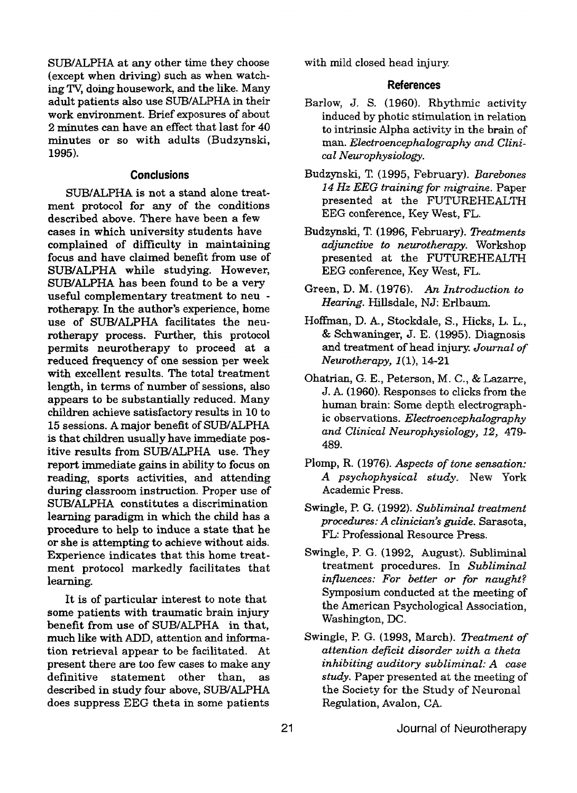SUB/ALPHA at any other time they choose with mild closed head injury. (except when driving) such **as** when watch**ing** Tv, doing housework, and the like. Many adult patients **also** use SUB/ALPHA in their work environment. Brief exposures of about 2 minutes can have an effect that last for **40**  minutes or so with adults (Budzynski, 1995).

#### **Conclusions**

suB/ALPHA is not a stand alone treatment protocol for any of the conditions described above. There have been a few cases in which university students have complained of difficulty in maintaining focus and have claimed benefit from use of SUB/ALPHA while studying. However, SUEVALPHA has been found to be a very useful complementary treatment to neu rotherapy. In the author's experience, home use of SUB/ALPHA facilitates the neurotherapy process. Further, this protocol permits neurotherapy to proceed at a reduced frequency of one session per week with excellent results. The total treatment length, **in** terms of number of sessions, **also**  appears to be substantially reduced. Many children achieve satisfactory results in 10 to 15 sessions. **A** major benefit of SUBIALPHA is that children usually have immediate **pos**itive results **from** SUB/ALPHA use. They report immediate gains in ability to focus on reading, sports activities, **and** attending during classroom instruction. Proper use of **SuB/ALPHA** constitutes **a** discrimination learning paradigm in which the child has a procedure to help to induce a state that he or she is attempting to achieve without aids. Experience indicates that this home treatment protocol markedly facilitates that learning.

It is of particular interest to note that some patients with traumatic brain injury benefit from use **of** SUBIALPHA in that, much like with ADD, attention and information retrieval appear to be facilitated. At present there are too few cases to make any definitive statement other than, as described in study **four** above, SUBIALPHA does suppress EEG theta in some patients

#### **References**

- Barlow, J. S. (1960). Rhythmic activity induced by photic stimulation in relation to intrinsic Alpha activity in the brain of man. *Electroencephalography and Clinical Neurophysiology.*
- Budzynski, **T** (1995, February). *Barebones 14 Hz EEG training for migraine.* Paper presented at the FUTUREHEALTH EEG conference, Key West, FL.
- Budzynski, T. (1996, February). *Deatments adjunctive to murotherapy.* Workshop presented at the FUTUREHEALTH EEG conference, Key West, FL.
- Green, D. M. (1976). *An Introduction to Hearing.* Hillsdale, NJ: Erlbaum.
- Hoffman, D. **A.** , Stockdale, S., Hicks, L. L., & Schwaninger, J. E. (1995). Diagnosis and treatment of head injury. *Journal of Neurotherapy, 1* **(I), 1421**
- Ohatrian, G. E., Peterson, M. C., & Lazarre, **J.** A. (1960). Responses to clicks **from** the human brain: Some depth electrographic observations. *Electroencephalography and Clinical Neurophysiology, 12, 479-***489.**
- Plomp, R. **(1976).** *Aspects of tone sensation: A psychophysical study.* New **York**  Academic Press.
- Swingle, P. G. (1992). *Subliminal treatment procedures: A clinician's guide.* Sarasota, FL: Professional Resource Press.
- Swingle, P. G. (1992, August). Subliminal treatment procedures. In *Subliminal influences: For better or for naught?*  Symposium conducted at the meeting of the American Psychological Association, Washington, DC.
- Swingle, P. G. (1993, March). Treatment of *attention deficit disorder with a theta inhibiting auditory subliminal: A* **case**  *study.* Paper presented at the meeting of the Society for the Study of Neuronal Regulation, **Avalon, CA.**